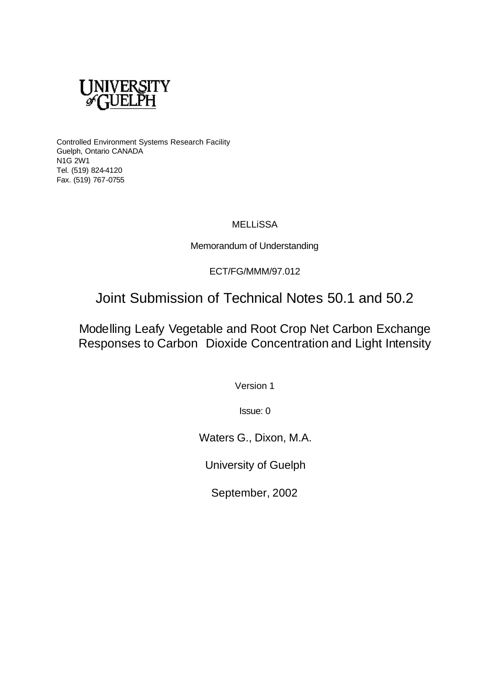

Controlled Environment Systems Research Facility Guelph, Ontario CANADA N1G 2W1 Tel. (519) 824-4120 Fax. (519) 767-0755

## **MELLISSA**

Memorandum of Understanding

ECT/FG/MMM/97.012

Joint Submission of Technical Notes 50.1 and 50.2

Modelling Leafy Vegetable and Root Crop Net Carbon Exchange Responses to Carbon Dioxide Concentration and Light Intensity

Version 1

Issue: 0

Waters G., Dixon, M.A.

University of Guelph

September, 2002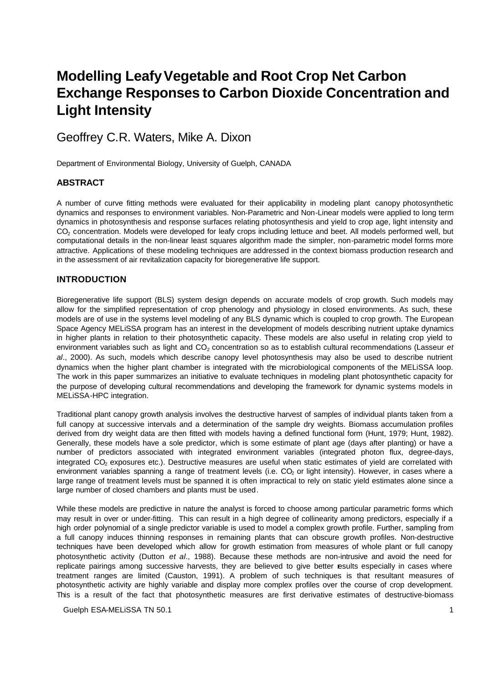# **Modelling Leafy Vegetable and Root Crop Net Carbon Exchange Responses to Carbon Dioxide Concentration and Light Intensity**

Geoffrey C.R. Waters, Mike A. Dixon

Department of Environmental Biology, University of Guelph, CANADA

## **ABSTRACT**

A number of curve fitting methods were evaluated for their applicability in modeling plant canopy photosynthetic dynamics and responses to environment variables. Non-Parametric and Non-Linear models were applied to long term dynamics in photosynthesis and response surfaces relating photosynthesis and yield to crop age, light intensity and CO<sub>2</sub> concentration. Models were developed for leafy crops including lettuce and beet. All models performed well, but computational details in the non-linear least squares algorithm made the simpler, non-parametric model forms more attractive. Applications of these modeling techniques are addressed in the context biomass production research and in the assessment of air revitalization capacity for bioregenerative life support.

## **INTRODUCTION**

Bioregenerative life support (BLS) system design depends on accurate models of crop growth. Such models may allow for the simplified representation of crop phenology and physiology in closed environments. As such, these models are of use in the systems level modeling of any BLS dynamic which is coupled to crop growth. The European Space Agency MELiSSA program has an interest in the development of models describing nutrient uptake dynamics in higher plants in relation to their photosynthetic capacity. These models are also useful in relating crop yield to environment variables such as light and CO<sub>2</sub> concentration so as to establish cultural recommendations (Lasseur *et al*., 2000). As such, models which describe canopy level photosynthesis may also be used to describe nutrient dynamics when the higher plant chamber is integrated with the microbiological components of the MELiSSA loop. The work in this paper summarizes an initiative to evaluate techniques in modeling plant photosynthetic capacity for the purpose of developing cultural recommendations and developing the framework for dynamic systems models in MELiSSA-HPC integration.

Traditional plant canopy growth analysis involves the destructive harvest of samples of individual plants taken from a full canopy at successive intervals and a determination of the sample dry weights. Biomass accumulation profiles derived from dry weight data are then fitted with models having a defined functional form (Hunt, 1979; Hunt, 1982). Generally, these models have a sole predictor, which is some estimate of plant age (days after planting) or have a number of predictors associated with integrated environment variables (integrated photon flux, degree-days, integrated CO<sub>2</sub> exposures etc.). Destructive measures are useful when static estimates of yield are correlated with environment variables spanning a range of treatment levels (i.e.  $CO<sub>2</sub>$  or light intensity). However, in cases where a large range of treatment levels must be spanned it is often impractical to rely on static yield estimates alone since a large number of closed chambers and plants must be used.

While these models are predictive in nature the analyst is forced to choose among particular parametric forms which may result in over or under-fitting. This can result in a high degree of collinearity among predictors, especially if a high order polynomial of a single predictor variable is used to model a complex growth profile. Further, sampling from a full canopy induces thinning responses in remaining plants that can obscure growth profiles. Non-destructive techniques have been developed which allow for growth estimation from measures of whole plant or full canopy photosynthetic activity (Dutton *et al*., 1988). Because these methods are non-intrusive and avoid the need for replicate pairings among successive harvests, they are believed to give better results especially in cases where treatment ranges are limited (Causton, 1991). A problem of such techniques is that resultant measures of photosynthetic activity are highly variable and display more complex profiles over the course of crop development. This is a result of the fact that photosynthetic measures are first derivative estimates of destructive-biomass

Guelph ESA-MELISSA TN 50.1 1 1 200 1 200 1 200 1 200 1 200 1 200 1 200 1 200 1 200 1 200 1 200 1 200 1 200 1 200 1 200 1 200 1 200 1 200 1 200 1 200 1 200 1 200 1 200 1 200 1 200 1 200 1 200 1 200 1 200 1 200 1 200 1 200 1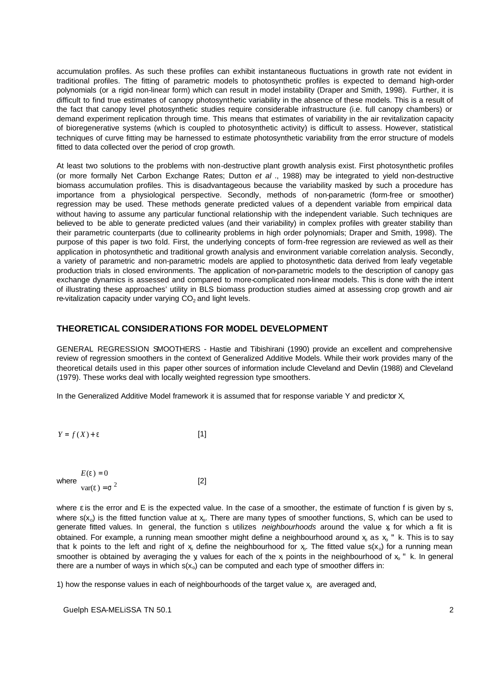accumulation profiles. As such these profiles can exhibit instantaneous fluctuations in growth rate not evident in traditional profiles. The fitting of parametric models to photosynthetic profiles is expected to demand high-order polynomials (or a rigid non-linear form) which can result in model instability (Draper and Smith, 1998). Further, it is difficult to find true estimates of canopy photosynthetic variability in the absence of these models. This is a result of the fact that canopy level photosynthetic studies require considerable infrastructure (i.e. full canopy chambers) or demand experiment replication through time. This means that estimates of variability in the air revitalization capacity of bioregenerative systems (which is coupled to photosynthetic activity) is difficult to assess. However, statistical techniques of curve fitting may be harnessed to estimate photosynthetic variability from the error structure of models fitted to data collected over the period of crop growth.

At least two solutions to the problems with non-destructive plant growth analysis exist. First photosynthetic profiles (or more formally Net Carbon Exchange Rates; Dutton *et al* ., 1988) may be integrated to yield non-destructive biomass accumulation profiles. This is disadvantageous because the variability masked by such a procedure has importance from a physiological perspective. Secondly, methods of non-parametric (form-free or smoother) regression may be used. These methods generate predicted values of a dependent variable from empirical data without having to assume any particular functional relationship with the independent variable. Such techniques are believed to be able to generate predicted values (and their variability) in complex profiles with greater stability than their parametric counterparts (due to collinearity problems in high order polynomials; Draper and Smith, 1998). The purpose of this paper is two fold. First, the underlying concepts of form-free regression are reviewed as well as their application in photosynthetic and traditional growth analysis and environment variable correlation analysis. Secondly, a variety of parametric and non-parametric models are applied to photosynthetic data derived from leafy vegetable production trials in closed environments. The application of non-parametric models to the description of canopy gas exchange dynamics is assessed and compared to more-complicated non-linear models. This is done with the intent of illustrating these approaches' utility in BLS biomass production studies aimed at assessing crop growth and air re-vitalization capacity under varying  $CO<sub>2</sub>$  and light levels.

### **THEORETICAL CONSIDERATIONS FOR MODEL DEVELOPMENT**

GENERAL REGRESSION SMOOTHERS - Hastie and Tibishirani (1990) provide an excellent and comprehensive review of regression smoothers in the context of Generalized Additive Models. While their work provides many of the theoretical details used in this paper other sources of information include Cleveland and Devlin (1988) and Cleveland (1979). These works deal with locally weighted regression type smoothers.

In the Generalized Additive Model framework it is assumed that for response variable Y and predictor X,

$$
Y = f(X) + e
$$
 [1]

|       | $E(e) = 0$     |     |
|-------|----------------|-----|
| where |                | [2] |
|       | $var(e) = s^2$ |     |

where ε is the error and E is the expected value. In the case of a smoother, the estimate of function f is given by s, where  $s(x_0)$  is the fitted function value at  $x_0$ . There are many types of smoother functions, S, which can be used to generate fitted values. In general, the function s utilizes *neighbourhoods* around the value x for which a fit is obtained. For example, a running mean smoother might define a neighbourhood around  $x_0$  as  $x_0$  " k. This is to say that k points to the left and right of  $x_0$  define the neighbourhood for  $x_0$ . The fitted value  $s(x_0)$  for a running mean smoother is obtained by averaging the y values for each of the x points in the neighbourhood of  $x_0$ " k. In general there are a number of ways in which  $s(x_0)$  can be computed and each type of smoother differs in:

1) how the response values in each of neighbourhoods of the target value  $x<sub>o</sub>$  are averaged and,

Guelph ESA-MELiSSA TN 50.1 2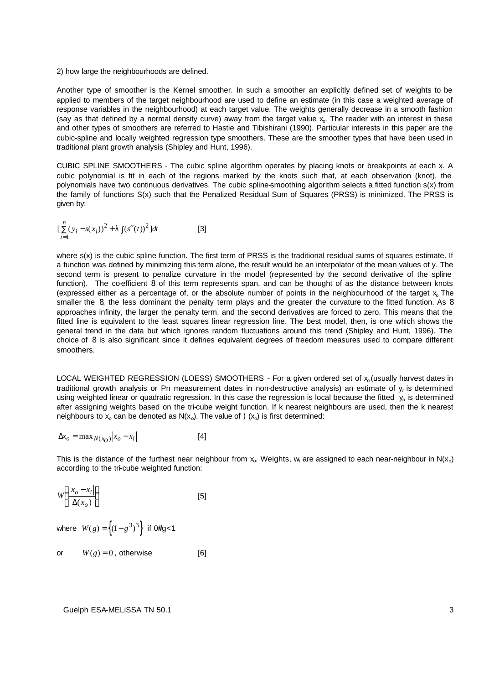#### 2) how large the neighbourhoods are defined.

Another type of smoother is the Kernel smoother. In such a smoother an explicitly defined set of weights to be applied to members of the target neighbourhood are used to define an estimate (in this case a weighted average of response variables in the neighbourhood) at each target value. The weights generally decrease in a smooth fashion (say as that defined by a normal density curve) away from the target value  $x_0$ . The reader with an interest in these and other types of smoothers are referred to Hastie and Tibishirani (1990). Particular interests in this paper are the cubic-spline and locally weighted regression type smoothers. These are the smoother types that have been used in traditional plant growth analysis (Shipley and Hunt, 1996).

CUBIC SPLINE SMOOTHERS - The cubic spline algorithm operates by placing knots or breakpoints at each x<sup>i</sup> . A cubic polynomial is fit in each of the regions marked by the knots such that, at each observation (knot), the polynomials have two continuous derivatives. The cubic spline-smoothing algorithm selects a fitted function s(x) from the family of functions S(x) such that the Penalized Residual Sum of Squares (PRSS) is minimized. The PRSS is given by:

$$
\left[\sum_{i=1}^{n} (y_i - s(x_i))^2 + I\right] (s''(t))^2 \,] dt \tag{3}
$$

where s(x) is the cubic spline function. The first term of PRSS is the traditional residual sums of squares estimate. If a function was defined by minimizing this term alone, the result would be an interpolator of the mean values of y. The second term is present to penalize curvature in the model (represented by the second derivative of the spline function). The co-efficient 8 of this term represents span, and can be thought of as the distance between knots (expressed either as a percentage of, or the absolute number of points in the neighbourhood of the target  $x$ , The smaller the 8, the less dominant the penalty term plays and the greater the curvature to the fitted function. As 8 approaches infinity, the larger the penalty term, and the second derivatives are forced to zero. This means that the fitted line is equivalent to the least squares linear regression line. The best model, then, is one which shows the general trend in the data but which ignores random fluctuations around this trend (Shipley and Hunt, 1996). The choice of 8 is also significant since it defines equivalent degrees of freedom measures used to compare different smoothers.

LOCAL WEIGHTED REGRESSION (LOESS) SMOOTHERS - For a given ordered set of x, (usually harvest dates in traditional growth analysis or Pn measurement dates in non-destructive analysis) an estimate of  $y_0$  is determined using weighted linear or quadratic regression. In this case the regression is local because the fitted  $v_0$  is determined after assigning weights based on the tri-cube weight function. If k nearest neighbours are used, then the k nearest neighbours to  $x_0$  can be denoted as  $N(x_0)$ . The value of  $(x_0)$  is first determined:

$$
\Delta x_o = \max_{N(x_O)} |x_o - x_i|
$$
 [4]

This is the distance of the furthest near neighbour from  $x_0$ . Weights, w<sub>i</sub> are assigned to each near-neighbour in N(x<sub>o</sub>) according to the tri-cube weighted function:

$$
W\left(\frac{|x_o - x_i|}{\Delta(x_o)}\right) \tag{5}
$$

where  $W(g) = \left\{ (1 - g^3)^3 \right\}$  if 0#g<1

or 
$$
W(g) = 0
$$
, otherwise [6]

Guelph ESA-MELiSSA TN 50.1 3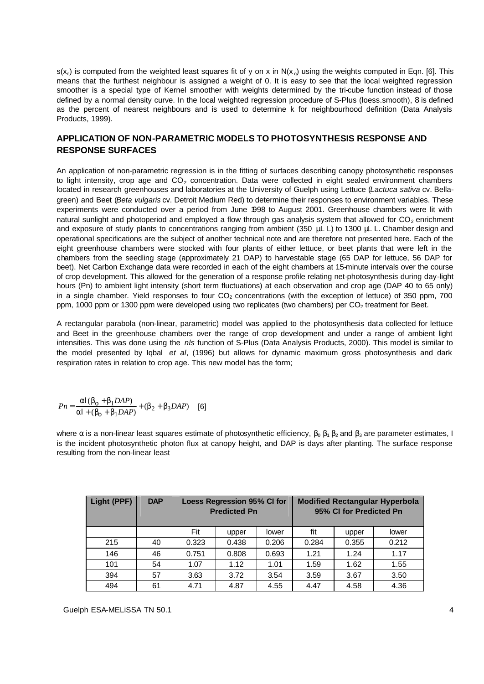$s(x_0)$  is computed from the weighted least squares fit of y on x in N(x<sub>o</sub>) using the weights computed in Eqn. [6]. This means that the furthest neighbour is assigned a weight of 0. It is easy to see that the local weighted regression smoother is a special type of Kernel smoother with weights determined by the tri-cube function instead of those defined by a normal density curve. In the local weighted regression procedure of S-Plus (loess.smooth), 8 is defined as the percent of nearest neighbours and is used to determine k for neighbourhood definition (Data Analysis Products, 1999).

## **APPLICATION OF NON-PARAMETRIC MODELS TO PHOTOSYNTHESIS RESPONSE AND RESPONSE SURFACES**

An application of non-parametric regression is in the fitting of surfaces describing canopy photosynthetic responses to light intensity, crop age and  $CO<sub>2</sub>$  concentration. Data were collected in eight sealed environment chambers located in research greenhouses and laboratories at the University of Guelph using Lettuce (*Lactuca sativa* cv. Bellagreen) and Beet (*Beta vulgaris* cv. Detroit Medium Red) to determine their responses to environment variables. These experiments were conducted over a period from June 1998 to August 2001. Greenhouse chambers were lit with natural sunlight and photoperiod and employed a flow through gas analysis system that allowed for CO<sub>2</sub> enrichment and exposure of study plants to concentrations ranging from ambient (350 μL L) to 1300 μL L. Chamber design and operational specifications are the subject of another technical note and are therefore not presented here. Each of the eight greenhouse chambers were stocked with four plants of either lettuce, or beet plants that were left in the chambers from the seedling stage (approximately 21 DAP) to harvestable stage (65 DAP for lettuce, 56 DAP for beet). Net Carbon Exchange data were recorded in each of the eight chambers at 15-minute intervals over the course of crop development. This allowed for the generation of a response profile relating net-photosynthesis during day-light hours (Pn) to ambient light intensity (short term fluctuations) at each observation and crop age (DAP 40 to 65 only) in a single chamber. Yield responses to four  $CO<sub>2</sub>$  concentrations (with the exception of lettuce) of 350 ppm, 700 ppm, 1000 ppm or 1300 ppm were developed using two replicates (two chambers) per CO<sub>2</sub> treatment for Beet.

A rectangular parabola (non-linear, parametric) model was applied to the photosynthesis data collected for lettuce and Beet in the greenhouse chambers over the range of crop development and under a range of ambient light intensities. This was done using the *nls* function of S-Plus (Data Analysis Products, 2000). This model is similar to the model presented by Iqbal *et al*, (1996) but allows for dynamic maximum gross photosynthesis and dark respiration rates in relation to crop age. This new model has the form;

$$
Pn = \frac{aI(b_0 + b_1 DAP)}{aI + (b_0 + b_1 DAP)} + (b_2 + b_3 DAP)
$$
 [6]

where  $\alpha$  is a non-linear least squares estimate of photosynthetic efficiency,  $\beta_0$   $\beta_1$   $\beta_2$  and  $\beta_3$  are parameter estimates, I is the incident photosynthetic photon flux at canopy height, and DAP is days after planting. The surface response resulting from the non-linear least

| Light (PPF) | <b>DAP</b> | Loess Regression 95% CI for<br><b>Predicted Pn</b> |       |       |       | <b>Modified Rectangular Hyperbola</b><br>95% CI for Predicted Pn |       |  |
|-------------|------------|----------------------------------------------------|-------|-------|-------|------------------------------------------------------------------|-------|--|
|             |            | Fit                                                | upper | lower | fit   | upper                                                            | lower |  |
| 215         | 40         | 0.323                                              | 0.438 | 0.206 | 0.284 | 0.355                                                            | 0.212 |  |
| 146         | 46         | 0.751                                              | 0.808 | 0.693 | 1.21  | 1.24                                                             | 1.17  |  |
| 101         | 54         | 1.07                                               | 1.12  | 1.01  | 1.59  | 1.62                                                             | 1.55  |  |
| 394         | 57         | 3.63                                               | 3.72  | 3.54  | 3.59  | 3.67                                                             | 3.50  |  |
| 494         | 61         | 4.71                                               | 4.87  | 4.55  | 4.47  | 4.58                                                             | 4.36  |  |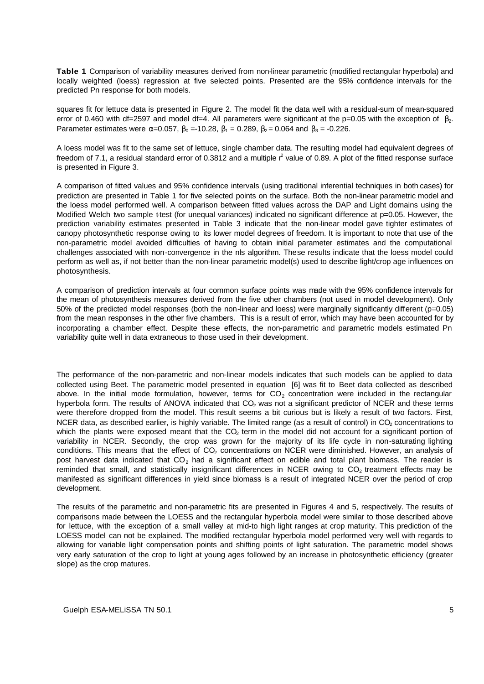**Table 1**. Comparison of variability measures derived from non-linear parametric (modified rectangular hyperbola) and locally weighted (loess) regression at five selected points. Presented are the 95% confidence intervals for the predicted Pn response for both models.

squares fit for lettuce data is presented in Figure 2. The model fit the data well with a residual-sum of mean-squared error of 0.460 with df=2597 and model df=4. All parameters were significant at the p=0.05 with the exception of  $\beta_2$ . Parameter estimates were  $\alpha$ =0.057,  $\beta_0$  =-10.28,  $\beta_1$  = 0.289,  $\beta_2$  = 0.064 and  $\beta_3$  = -0.226.

A loess model was fit to the same set of lettuce, single chamber data. The resulting model had equivalent degrees of freedom of 7.1, a residual standard error of 0.3812 and a multiple  $r^2$  value of 0.89. A plot of the fitted response surface is presented in Figure 3.

A comparison of fitted values and 95% confidence intervals (using traditional inferential techniques in both cases) for prediction are presented in Table 1 for five selected points on the surface. Both the non-linear parametric model and the loess model performed well. A comparison between fitted values across the DAP and Light domains using the Modified Welch two sample ttest (for unequal variances) indicated no significant difference at  $p=0.05$ . However, the prediction variability estimates presented in Table 3 indicate that the non-linear model gave tighter estimates of canopy photosynthetic response owing to its lower model degrees of freedom. It is important to note that use of the non-parametric model avoided difficulties of having to obtain initial parameter estimates and the computational challenges associated with non-convergence in the nls algorithm. These results indicate that the loess model could perform as well as, if not better than the non-linear parametric model(s) used to describe light/crop age influences on photosynthesis.

A comparison of prediction intervals at four common surface points was made with the 95% confidence intervals for the mean of photosynthesis measures derived from the five other chambers (not used in model development). Only 50% of the predicted model responses (both the non-linear and loess) were marginally significantly different (p=0.05) from the mean responses in the other five chambers. This is a result of error, which may have been accounted for by incorporating a chamber effect. Despite these effects, the non-parametric and parametric models estimated Pn variability quite well in data extraneous to those used in their development.

The performance of the non-parametric and non-linear models indicates that such models can be applied to data collected using Beet. The parametric model presented in equation [6] was fit to Beet data collected as described above. In the initial mode formulation, however, terms for  $CO<sub>2</sub>$  concentration were included in the rectangular hyperbola form. The results of ANOVA indicated that CO<sub>2</sub> was not a significant predictor of NCER and these terms were therefore dropped from the model. This result seems a bit curious but is likely a result of two factors. First, NCER data, as described earlier, is highly variable. The limited range (as a result of control) in CO<sub>2</sub> concentrations to which the plants were exposed meant that the CO<sub>2</sub> term in the model did not account for a significant portion of variability in NCER. Secondly, the crop was grown for the majority of its life cycle in non-saturating lighting conditions. This means that the effect of CO<sub>2</sub> concentrations on NCER were diminished. However, an analysis of post harvest data indicated that  $CO<sub>2</sub>$  had a significant effect on edible and total plant biomass. The reader is reminded that small, and statistically insignificant differences in NCER owing to CO<sub>2</sub> treatment effects may be manifested as significant differences in yield since biomass is a result of integrated NCER over the period of crop development.

The results of the parametric and non-parametric fits are presented in Figures 4 and 5, respectively. The results of comparisons made between the LOESS and the rectangular hyperbola model were similar to those described above for lettuce, with the exception of a small valley at mid-to high light ranges at crop maturity. This prediction of the LOESS model can not be explained. The modified rectangular hyperbola model performed very well with regards to allowing for variable light compensation points and shifting points of light saturation. The parametric model shows very early saturation of the crop to light at young ages followed by an increase in photosynthetic efficiency (greater slope) as the crop matures.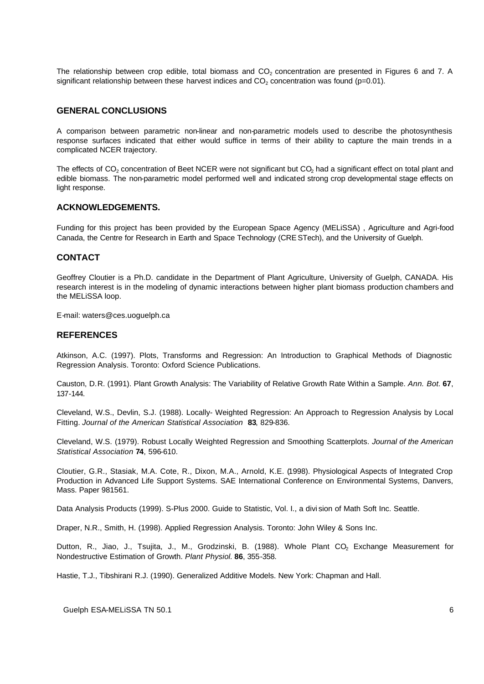The relationship between crop edible, total biomass and  $CO<sub>2</sub>$  concentration are presented in Figures 6 and 7. A significant relationship between these harvest indices and  $CO<sub>2</sub>$  concentration was found (p=0.01).

### **GENERAL CONCLUSIONS**

A comparison between parametric non-linear and non-parametric models used to describe the photosynthesis response surfaces indicated that either would suffice in terms of their ability to capture the main trends in a complicated NCER trajectory.

The effects of  $CO<sub>2</sub>$  concentration of Beet NCER were not significant but  $CO<sub>2</sub>$  had a significant effect on total plant and edible biomass. The non-parametric model performed well and indicated strong crop developmental stage effects on light response.

#### **ACKNOWLEDGEMENTS.**

Funding for this project has been provided by the European Space Agency (MELiSSA) , Agriculture and Agri-food Canada, the Centre for Research in Earth and Space Technology (CRESTech), and the University of Guelph.

## **CONTACT**

Geoffrey Cloutier is a Ph.D. candidate in the Department of Plant Agriculture, University of Guelph, CANADA. His research interest is in the modeling of dynamic interactions between higher plant biomass production chambers and the MELiSSA loop.

E-mail: waters@ces.uoguelph.ca

#### **REFERENCES**

Atkinson, A.C. (1997). Plots, Transforms and Regression: An Introduction to Graphical Methods of Diagnostic Regression Analysis. Toronto: Oxford Science Publications.

Causton, D.R. (1991). Plant Growth Analysis: The Variability of Relative Growth Rate Within a Sample. *Ann. Bot.* **67**, 137-144.

Cleveland, W.S., Devlin, S.J. (1988). Locally- Weighted Regression: An Approach to Regression Analysis by Local Fitting. *Journal of the American Statistical Association* **83**, 829-836.

Cleveland, W.S. (1979). Robust Locally Weighted Regression and Smoothing Scatterplots. *Journal of the American Statistical Association* **74**, 596-610.

Cloutier, G.R., Stasiak, M.A. Cote, R., Dixon, M.A., Arnold, K.E. (1998). Physiological Aspects of Integrated Crop Production in Advanced Life Support Systems. SAE International Conference on Environmental Systems, Danvers, Mass. Paper 981561.

Data Analysis Products (1999). S-Plus 2000. Guide to Statistic, Vol. I., a divi sion of Math Soft Inc. Seattle.

Draper, N.R., Smith, H. (1998). Applied Regression Analysis. Toronto: John Wiley & Sons Inc.

Dutton, R., Jiao, J., Tsujita, J., M., Grodzinski, B. (1988). Whole Plant CO<sub>2</sub> Exchange Measurement for Nondestructive Estimation of Growth. *Plant Physiol.* **86**, 355-358.

Hastie, T.J., Tibshirani R.J. (1990). Generalized Additive Models. New York: Chapman and Hall.

Guelph ESA-MELiSSA TN 50.1 6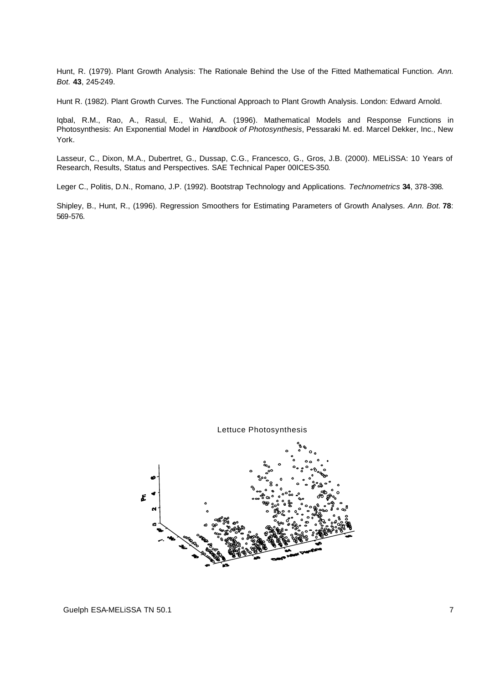Hunt, R. (1979). Plant Growth Analysis: The Rationale Behind the Use of the Fitted Mathematical Function. *Ann. Bot.* **43**, 245-249.

Hunt R. (1982). Plant Growth Curves. The Functional Approach to Plant Growth Analysis. London: Edward Arnold.

Iqbal, R.M., Rao, A., Rasul, E., Wahid, A. (1996). Mathematical Models and Response Functions in Photosynthesis: An Exponential Model in *Handbook of Photosynthesis*, Pessaraki M. ed. Marcel Dekker, Inc., New York.

Lasseur, C., Dixon, M.A., Dubertret, G., Dussap, C.G., Francesco, G., Gros, J.B. (2000). MELiSSA: 10 Years of Research, Results, Status and Perspectives. SAE Technical Paper 00ICES-350.

Leger C., Politis, D.N., Romano, J.P. (1992). Bootstrap Technology and Applications. *Technometrics* **34**, 378-398.

Shipley, B., Hunt, R., (1996). Regression Smoothers for Estimating Parameters of Growth Analyses. *Ann. Bot.* **78**: 569-576.

Lettuce Photosynthesis

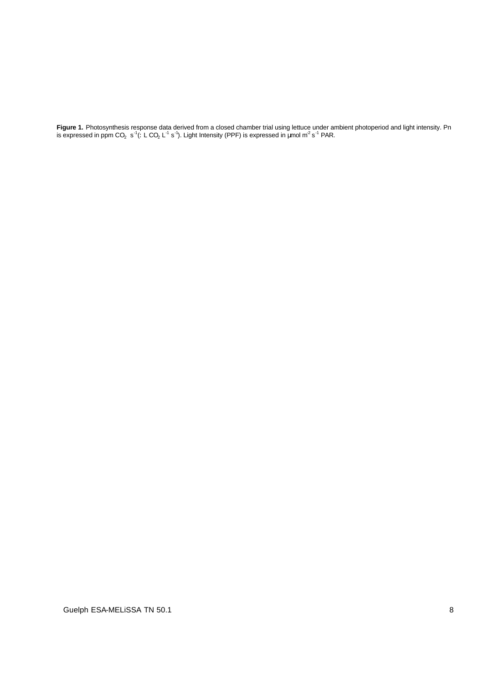**Figure 1.** Photosynthesis response data derived from a closed chamber trial using lettuce under ambient photoperiod and light intensity. Pn is expressed in ppm CO<sub>2</sub> s<sup>-1</sup>(: L CO<sub>2</sub> L<sup>-1</sup> s<sup>-1</sup>). Light Intensity (PPF) is expressed in µmol m<sup>2</sup> s<sup>-1</sup> PAR.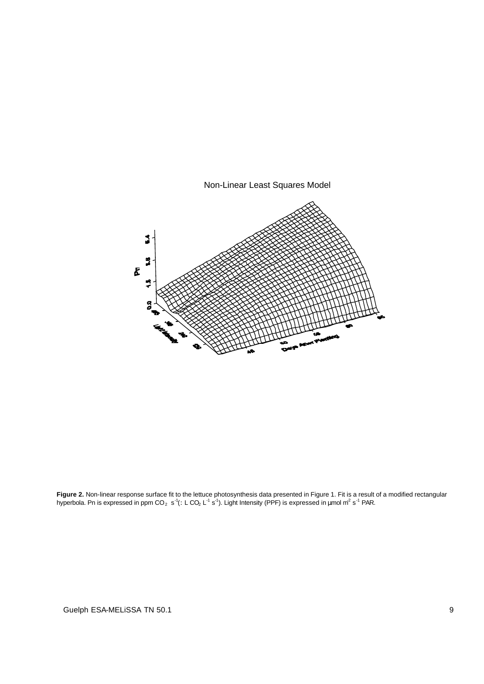

**Figure 2.** Non-linear response surface fit to the lettuce photosynthesis data presented in Figure 1. Fit is a result of a modified rectangular hyperbola. Pn is expressed in ppm CO<sub>2</sub> s<sup>-1</sup>(: L CO<sub>2</sub> L<sup>-1</sup> s<sup>-1</sup>). Light Intensity (PPF) is expressed in μmol m<sup>2</sup> s<sup>-1</sup> PAR.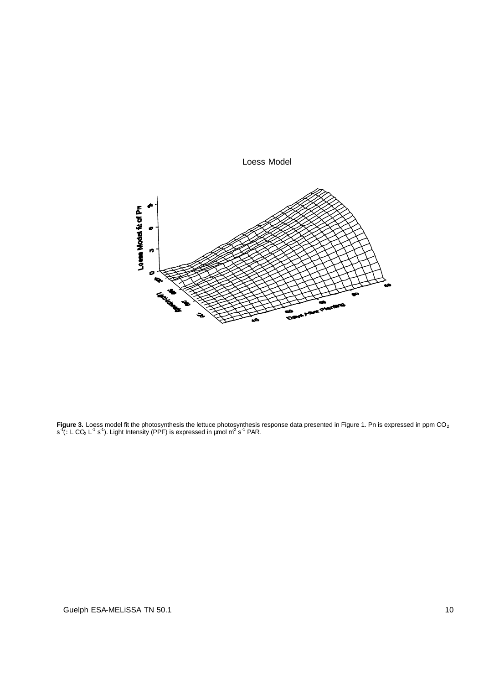

Loess Model

**Figure 3.** Loess model fit the photosynthesis the lettuce photosynthesis response data presented in Figure 1. Pn is expressed in ppm CO<sub>2</sub> s<sup>-1</sup>(: L CO<sub>2</sub> L<sup>-1</sup> s<sup>-1</sup>). Light Intensity (PPF) is expressed in µmol m<sup>2</sup> s<sup>-1</sup> PAR.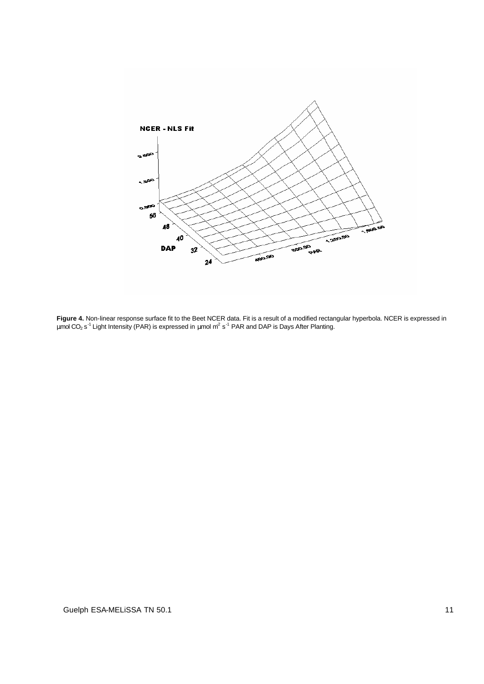

**Figure 4.** Non-linear response surface fit to the Beet NCER data. Fit is a result of a modified rectangular hyperbola. NCER is expressed in μmol CO<sub>2</sub> s<sup>-1</sup> Light Intensity (PAR) is expressed in μmol m<sup>2</sup> s<sup>-1</sup> PAR and DAP is Days After Planting.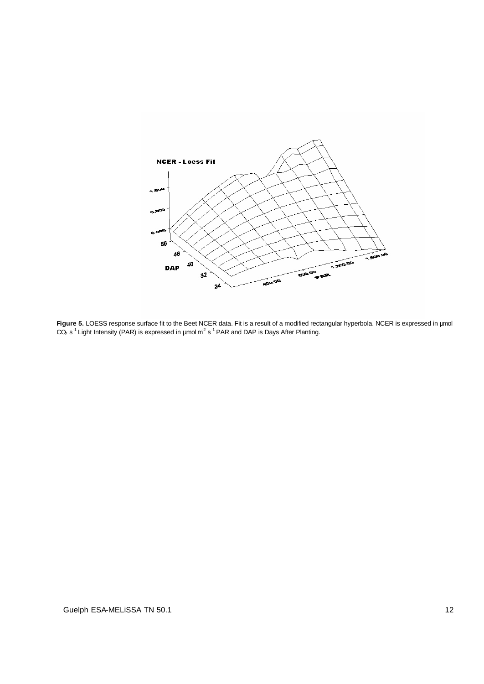

**Figure 5.** LOESS response surface fit to the Beet NCER data. Fit is a result of a modified rectangular hyperbola. NCER is expressed in μmol CO<sub>2</sub> s<sup>-1</sup> Light Intensity (PAR) is expressed in μmol m<sup>2</sup> s<sup>-1</sup> PAR and DAP is Days After Planting.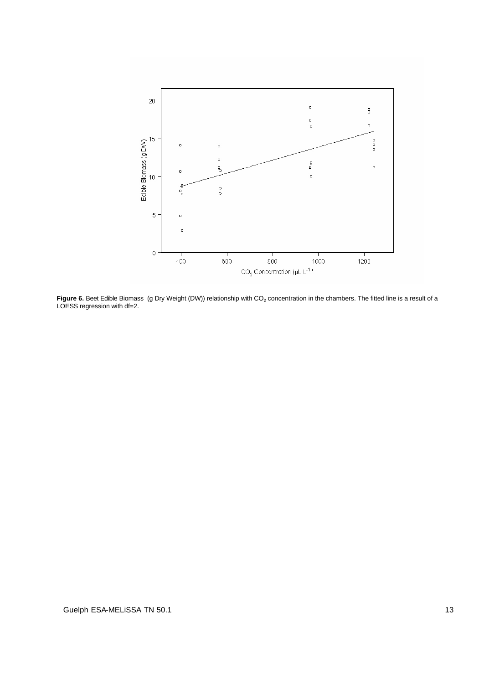

Figure 6. Beet Edible Biomass (g Dry Weight (DW)) relationship with CO<sub>2</sub> concentration in the chambers. The fitted line is a result of a LOESS regression with df=2.